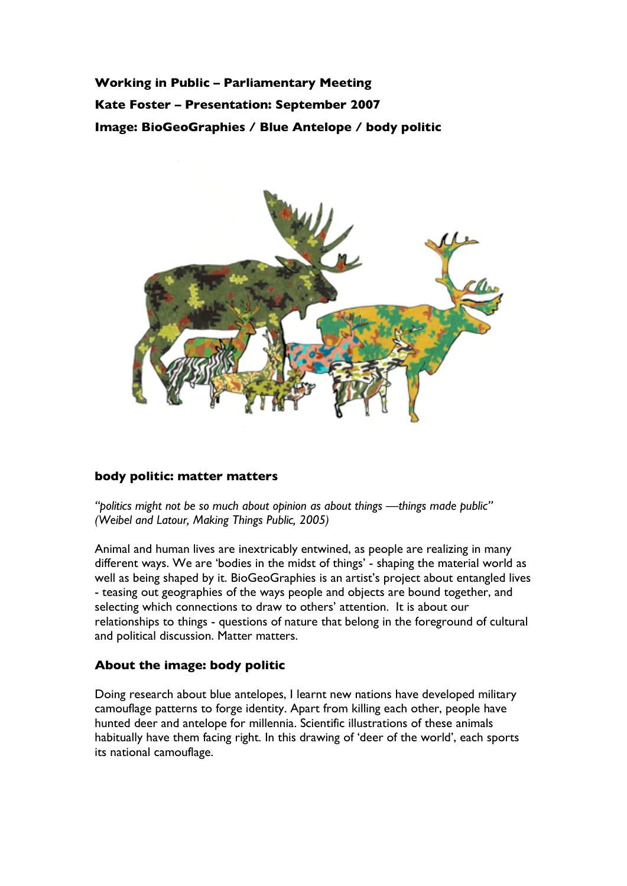**Working in Public – Parliamentary Meeting Kate Foster – Presentation: September 2007 Image: BioGeoGraphies / Blue Antelope / body politic**



## **body politic: matter matters**

*"politics might not be so much about opinion as about things —things made public" (Weibel and Latour, Making Things Public, 2005)*

Animal and human lives are inextricably entwined, as people are realizing in many different ways. We are 'bodies in the midst of things' - shaping the material world as well as being shaped by it. BioGeoGraphies is an artist's project about entangled lives - teasing out geographies of the ways people and objects are bound together, and selecting which connections to draw to others' attention. It is about our relationships to things - questions of nature that belong in the foreground of cultural and political discussion. Matter matters.

## **About the image: body politic**

Doing research about blue antelopes, I learnt new nations have developed military camouflage patterns to forge identity. Apart from killing each other, people have hunted deer and antelope for millennia. Scientific illustrations of these animals habitually have them facing right. In this drawing of 'deer of the world', each sports its national camouflage.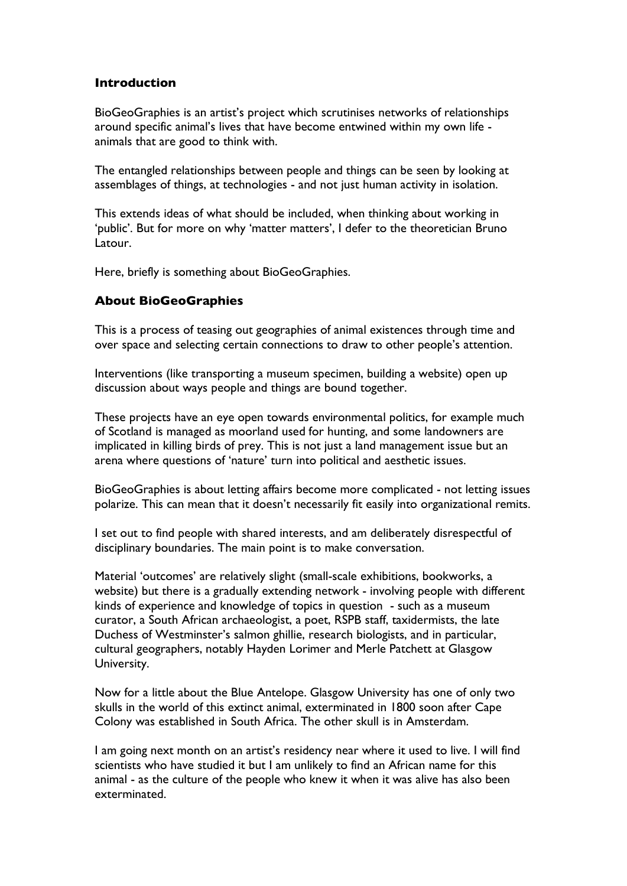## **Introduction**

BioGeoGraphies is an artist's project which scrutinises networks of relationships around specific animal's lives that have become entwined within my own life animals that are good to think with.

The entangled relationships between people and things can be seen by looking at assemblages of things, at technologies - and not just human activity in isolation.

This extends ideas of what should be included, when thinking about working in 'public'. But for more on why 'matter matters', I defer to the theoretician Bruno Latour.

Here, briefly is something about BioGeoGraphies.

## **About BioGeoGraphies**

This is a process of teasing out geographies of animal existences through time and over space and selecting certain connections to draw to other people's attention.

Interventions (like transporting a museum specimen, building a website) open up discussion about ways people and things are bound together.

These projects have an eye open towards environmental politics, for example much of Scotland is managed as moorland used for hunting, and some landowners are implicated in killing birds of prey. This is not just a land management issue but an arena where questions of 'nature' turn into political and aesthetic issues.

BioGeoGraphies is about letting affairs become more complicated - not letting issues polarize. This can mean that it doesn't necessarily fit easily into organizational remits.

I set out to find people with shared interests, and am deliberately disrespectful of disciplinary boundaries. The main point is to make conversation.

Material 'outcomes' are relatively slight (small-scale exhibitions, bookworks, a website) but there is a gradually extending network - involving people with different kinds of experience and knowledge of topics in question - such as a museum curator, a South African archaeologist, a poet, RSPB staff, taxidermists, the late Duchess of Westminster's salmon ghillie, research biologists, and in particular, cultural geographers, notably Hayden Lorimer and Merle Patchett at Glasgow University.

Now for a little about the Blue Antelope. Glasgow University has one of only two skulls in the world of this extinct animal, exterminated in 1800 soon after Cape Colony was established in South Africa. The other skull is in Amsterdam.

I am going next month on an artist's residency near where it used to live. I will find scientists who have studied it but I am unlikely to find an African name for this animal - as the culture of the people who knew it when it was alive has also been exterminated.